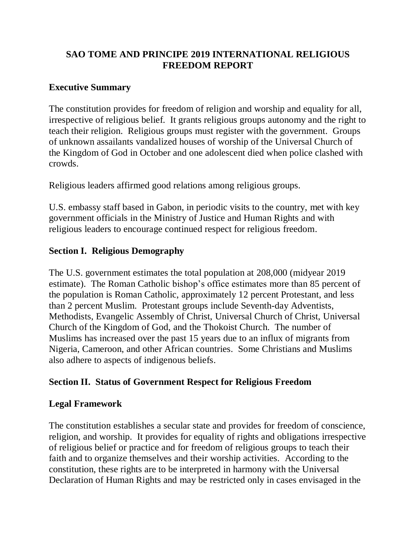# **SAO TOME AND PRINCIPE 2019 INTERNATIONAL RELIGIOUS FREEDOM REPORT**

### **Executive Summary**

The constitution provides for freedom of religion and worship and equality for all, irrespective of religious belief. It grants religious groups autonomy and the right to teach their religion. Religious groups must register with the government. Groups of unknown assailants vandalized houses of worship of the Universal Church of the Kingdom of God in October and one adolescent died when police clashed with crowds.

Religious leaders affirmed good relations among religious groups.

U.S. embassy staff based in Gabon, in periodic visits to the country, met with key government officials in the Ministry of Justice and Human Rights and with religious leaders to encourage continued respect for religious freedom.

## **Section I. Religious Demography**

The U.S. government estimates the total population at 208,000 (midyear 2019 estimate). The Roman Catholic bishop's office estimates more than 85 percent of the population is Roman Catholic, approximately 12 percent Protestant, and less than 2 percent Muslim. Protestant groups include Seventh-day Adventists, Methodists, Evangelic Assembly of Christ, Universal Church of Christ, Universal Church of the Kingdom of God, and the Thokoist Church. The number of Muslims has increased over the past 15 years due to an influx of migrants from Nigeria, Cameroon, and other African countries. Some Christians and Muslims also adhere to aspects of indigenous beliefs.

## **Section II. Status of Government Respect for Religious Freedom**

## **Legal Framework**

The constitution establishes a secular state and provides for freedom of conscience, religion, and worship. It provides for equality of rights and obligations irrespective of religious belief or practice and for freedom of religious groups to teach their faith and to organize themselves and their worship activities. According to the constitution, these rights are to be interpreted in harmony with the Universal Declaration of Human Rights and may be restricted only in cases envisaged in the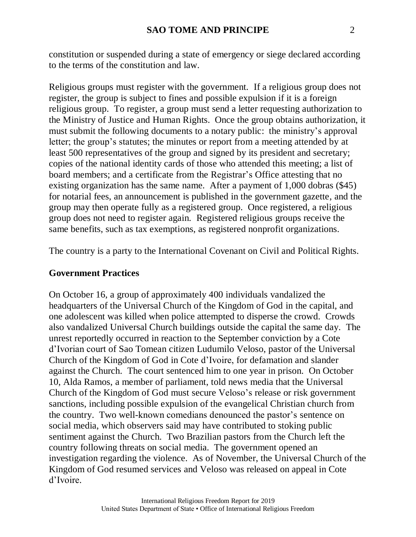constitution or suspended during a state of emergency or siege declared according to the terms of the constitution and law.

Religious groups must register with the government. If a religious group does not register, the group is subject to fines and possible expulsion if it is a foreign religious group. To register, a group must send a letter requesting authorization to the Ministry of Justice and Human Rights. Once the group obtains authorization, it must submit the following documents to a notary public: the ministry's approval letter; the group's statutes; the minutes or report from a meeting attended by at least 500 representatives of the group and signed by its president and secretary; copies of the national identity cards of those who attended this meeting; a list of board members; and a certificate from the Registrar's Office attesting that no existing organization has the same name. After a payment of 1,000 dobras (\$45) for notarial fees, an announcement is published in the government gazette, and the group may then operate fully as a registered group. Once registered, a religious group does not need to register again. Registered religious groups receive the same benefits, such as tax exemptions, as registered nonprofit organizations.

The country is a party to the International Covenant on Civil and Political Rights.

#### **Government Practices**

On October 16, a group of approximately 400 individuals vandalized the headquarters of the Universal Church of the Kingdom of God in the capital, and one adolescent was killed when police attempted to disperse the crowd. Crowds also vandalized Universal Church buildings outside the capital the same day. The unrest reportedly occurred in reaction to the September conviction by a Cote d'Ivorian court of Sao Tomean citizen Ludumilo Veloso, pastor of the Universal Church of the Kingdom of God in Cote d'Ivoire, for defamation and slander against the Church. The court sentenced him to one year in prison. On October 10, Alda Ramos, a member of parliament, told news media that the Universal Church of the Kingdom of God must secure Veloso's release or risk government sanctions, including possible expulsion of the evangelical Christian church from the country. Two well-known comedians denounced the pastor's sentence on social media, which observers said may have contributed to stoking public sentiment against the Church. Two Brazilian pastors from the Church left the country following threats on social media. The government opened an investigation regarding the violence. As of November, the Universal Church of the Kingdom of God resumed services and Veloso was released on appeal in Cote d'Ivoire.